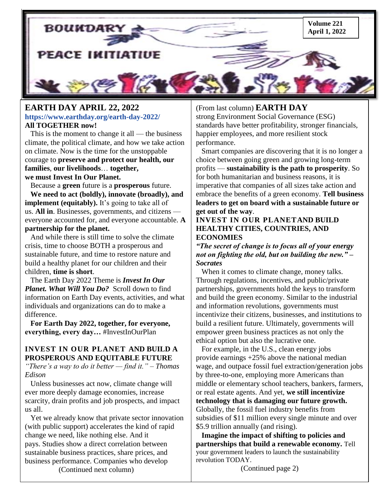

### **EARTH DAY APRIL 22, 2022 <https://www.earthday.org/earth-day-2022/> All TOGETHER now!**

 **families**, **our livelihoods**… **together,**  This is the moment to change it all — the business climate, the political climate, and how we take action on climate. Now is the time for the unstoppable courage to **preserve and protect our health, our we must Invest In Our Planet.**

 Because a **green** future is a **prosperous** future. **We need to act (boldly), innovate (broadly), and implement** (equitably). It's going to take all of us. **All in**. Businesses, governments, and citizens everyone accounted for, and everyone accountable. **A partnership for the planet.**

 And while there is still time to solve the climate crisis, time to choose BOTH a prosperous and sustainable future, and time to restore nature and build a healthy planet for our children and their children, **time is short**.

 The Earth Day 2022 Theme is *Invest In Our Planet. What Will You Do?* Scroll down to find information on Earth Day events, activities, and what individuals and organizations can do to make a difference.

 **For Earth Day 2022, together, for everyone, everything, every day…** #InvestInOurPlan

### **INVEST IN OUR PLANET AND BUILD A PROSPEROUS AND EQUITABLE FUTURE**

*<u>"There's a way to do it better — find it." – Thomas*</u> *Edison*

 Unless businesses act now, climate change will ever more deeply damage economies, increase scarcity, drain profits and job prospects, and impact us all.

 Yet we already know that private sector innovation (with public support) accelerates the kind of rapid change we need, like nothing else. And it pays. [Studies show](https://hbr.org/2019/05/the-investor-revolution) a direct correlation between sustainable business practices, share prices, and business performance. Companies who develop (Continued next column)

# (From last column) **EARTH DAY**

strong Environment Social Governance (ESG) standards have better profitability, stronger financials, happier employees, and more resilient stock performance.

 Smart companies are discovering that it is no longer a choice between going green and growing long-term profits — **sustainability is the path to prosperity**. So for both humanitarian and business reasons, it is imperative that companies of all sizes take action and embrace the benefits of a green economy. **Tell business leaders to get on board with a sustainable future or get out of the way**.

### **INVEST IN OUR PLANETAND BUILD HEALTHY CITIES, COUNTRIES, AND ECONOMIES**

*"The secret of change is to focus all of your energy not on fighting the old, but on building the new." – Socrates*

 When it comes to climate change, money talks. Through regulations, incentives, and public/private partnerships, governments hold the keys to transform and build the green economy. Similar to the industrial and information revolutions, governments must incentivize their citizens, businesses, and institutions to build a resilient future. Ultimately, governments will empower green business practices as not only the ethical option but also the lucrative one.

 For example, in the U.S., clean energy jobs provide [earnings +25% above](https://e2.org/reports/clean-jobs-america-2021/) the national median wage, and outpace fossil fuel extraction/generation jobs by three-to-one, employing more Americans than middle or elementary school teachers, bankers, farmers, or real estate agents. And yet, **we still incentivize technology that is damaging our future growth.** Globally, the fossil fuel industry [benefits from](https://www.imf.org/en/Publications/WP/Issues/2021/09/23/Still-Not-Getting-Energy-Prices-Right-A-Global-and-Country-Update-of-Fossil-Fuel-Subsidies-466004)  [subsidies](https://www.imf.org/en/Publications/WP/Issues/2021/09/23/Still-Not-Getting-Energy-Prices-Right-A-Global-and-Country-Update-of-Fossil-Fuel-Subsidies-466004) of \$11 million every single minute and over \$5.9 trillion annually (and rising).

 **Imagine the impact of shifting to policies and partnerships that build a renewable economy.** Tell your government leaders to launch the sustainability revolution TODAY.

(Continued page 2)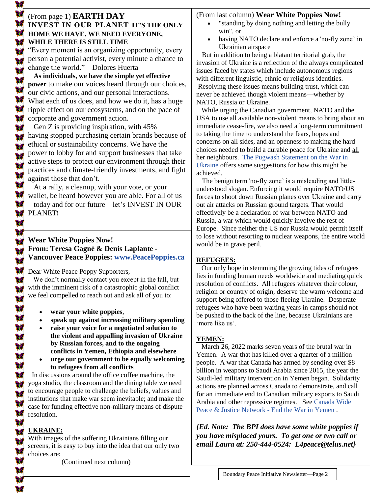# (From page 1) **EARTH DAY INVEST IN OUR PLANET IT'S THE ONLY HOME WE HAVE. WE NEED EVERYONE, WHILE THERE IS STILL TIME**

―Every moment is an organizing opportunity, every person a potential activist, every minute a chance to change the world." – Dolores Huerta

 **As individuals, we have the simple yet effective power** to make our voices heard through our choices, our civic actions, and our personal interactions. What each of us does, and how we do it, has a huge ripple effect on our ecosystems, and on the pace of corporate and government action.

 Gen Z is providing inspiration, with 45% having [stopped purchasing certain brands](https://www2.deloitte.com/uk/en/pages/consumer-business/articles/sustainable-consumer.html) because of ethical or sustainability concerns. We have the power to lobby for and support businesses that take active steps to protect our environment through their practices and climate-friendly investments, and fight against those that don't.

 At a rally, a cleanup, with your vote, or your wallet, be heard however you are able. For all of us – today and for our future – let's INVEST IN OUR PLANET**!**

# **Wear White Poppies Now! From: Teresa Gagné & Denis Laplante - Vancouver Peace Poppies: [www.PeacePoppies.ca](http://www.peacepoppies.ca/)**

Dear White Peace Poppy Supporters,

 We don't normally contact you except in the fall, but with the imminent risk of a catastrophic global conflict we feel compelled to reach out and ask all of you to:

- **wear your white poppies**,
- **speak up against increasing military spending**
- **raise your voice for a negotiated solution to the violent and appalling invasion of Ukraine by Russian forces, and to the ongoing conflicts in Yemen, Ethiopia and elsewhere**
- **urge our government to be equally welcoming to refugees from all conflicts**

 case for funding effective non-military means of dispute In discussions around the office coffee machine, the yoga studio, the classroom and the dining table we need to encourage people to challenge the beliefs, values and institutions that make war seem inevitable; and make the resolution.

# **UKRAINE:**

With images of the suffering Ukrainians filling our screens, it is easy to buy into the idea that our only two choices are:

(Continued next column)

# (From last column) **Wear White Poppies Now!**

- "standing by doing nothing and letting the bully win", or
- having NATO declare and enforce a 'no-fly zone' in Ukrainian airspace

But in addition to being a blatant territorial grab, the invasion of Ukraine is a reflection of the always complicated issues faced by states which include autonomous regions with different linguistic, ethnic or religious identities. Resolving these issues means building trust, which can never be achieved though violent means—whether by NATO, Russia or Ukraine.

 While urging the Canadian government, NATO and the USA to use all available non-violent means to bring about an immediate cease-fire, we also need a long-term commitment to taking the time to understand the fears, hopes and concerns on all sides, and an openness to making the hard choices needed to build a durable peace for Ukraine and all her neighbours. [The Pugwash Statement on the War in](https://pugwash.org/2022/02/26/pugwash-statement-on-the-war-in-ukraine/)  [Ukraine](https://pugwash.org/2022/02/26/pugwash-statement-on-the-war-in-ukraine/) offers some suggestions for how this might be achieved.

 The benign term 'no-fly zone' is a misleading and littleunderstood slogan. Enforcing it would require NATO/US forces to shoot down Russian planes over Ukraine and carry out air attacks on Russian ground targets. That would effectively be a declaration of war between NATO and Russia, a war which would quickly involve the rest of Europe. Since neither the US nor Russia would permit itself to lose without resorting to nuclear weapons, the entire world would be in grave peril.

# **REFUGEES:**

 Our only hope in stemming the growing tides of refugees lies in funding human needs worldwide and mediating quick resolution of conflicts. All refugees whatever their colour, religion or country of origin, deserve the warm welcome and support being offered to those fleeing Ukraine. Desperate refugees who have been waiting years in camps should not be pushed to the back of the line, because Ukrainians are 'more like us'.

# **YEMEN:**

 March 26, 2022 marks seven years of the brutal war in Yemen. A war that has killed over a quarter of a million people. A war that Canada has armed by sending over \$8 billion in weapons to Saudi Arabia since 2015, the year the Saudi-led military intervention in Yemen began. Solidarity actions are planned across Canada to demonstrate, and call for an immediate end to Canadian military exports to Saudi Arabia and other repressive regimes. See [Canada Wide](https://peaceandjusticenetwork.ca/canadastoparmingsaudi/)  [Peace & Justice Network -](https://peaceandjusticenetwork.ca/canadastoparmingsaudi/) End the War in Yemen .

*{Ed. Note: The BPI does have some white poppies if you have misplaced yours. To get one or two call or email Laura at: 250-444-0524: L4peace@telus.net}*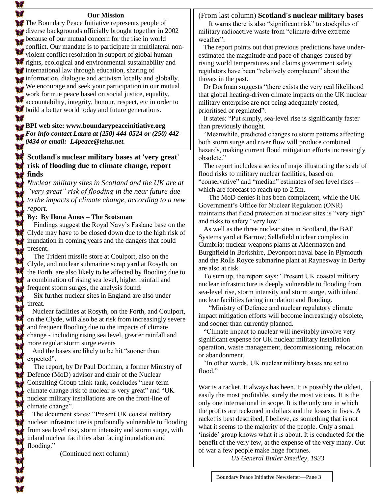#### **Our Mission**

The Boundary Peace Initiative represents people of diverse backgrounds officially brought together in 2002 because of our mutual concern for the rise in world conflict. Our mandate is to participate in multilateral nonviolent conflict resolution in support of global human *XX* rights, ecological and environmental sustainability and international law through education, sharing of information, dialogue and activism locally and globally. We encourage and seek your participation in our mutual work for true peace based on social justice, equality, **accountability**, integrity, honour, respect, etc in order to **build a better world today and future generations.** 

# **BPI web site: [www.boundarypeaceinitiative.org](http://www.boundarypeaceinitiative.org/)** *For info contact Laura at (250) 444-0524 or (250) 442- 0434 or email: [L4peace@telus.net](mailto:L4peace@telus.net).*

### **Scotland's nuclear military bases at 'very great' risk of flooding due to climate change, report finds**

*Nuclear military sites in Scotland and the UK are at ―very great‖ risk of flooding in the near future due to the impacts of climate change, according to a new report.*

#### **By: [By Ilona Amos](https://www.scotsman.com/news/environment/scotlands-nuclear-military-bases-at-very-great-risk-of-flooding-due-to-climate-change-report-finds-3389821) – The Scotsman**

 Findings suggest the Royal Navy's Faslane base on the Clyde may have to be closed down due to the high risk of inundation in coming years and the dangers that could present.

 The Trident missile store at Coulport, also on the Clyde, and nuclear submarine scrap yard at Rosyth, on the Forth, are also likely to be affected by flooding due to a combination of rising sea level, higher rainfall and frequent storm surges, the analysis found.

 Six further nuclear sites in England are also under threat.

 Nuclear facilities at Rosyth, on the Forth, and Coulport, on the Clyde, will also be at risk from increasingly severe and frequent flooding due to the impacts of climate change - including rising sea level, greater rainfall and more regular storm surge events

And the bases are likely to be hit "sooner than expected".

 The report, by Dr Paul Dorfman, a former Ministry of Defence (MoD) advisor and chair of the Nuclear Consulting Group think-tank, concludes "near-term climate change risk to nuclear is very great" and "UK nuclear military installations are on the front-line of climate change".

The document states: "Present UK coastal military nuclear infrastructure is profoundly vulnerable to flooding from sea level rise, storm intensity and storm surge, with inland nuclear facilities also facing inundation and flooding."

(Continued next column)

#### (From last column) **Scotland's nuclear military bases**

It warns there is also "significant risk" to stockpiles of military radioactive waste from "climate-drive extreme" weather".

 The report points out that previous predictions have underestimated the magnitude and pace of changes caused by rising world temperatures and claims government safety regulators have been "relatively complacent" about the threats in the past.

Dr Dorfman suggests "there exists the very real likelihood" that global heating-driven climate impacts on the UK nuclear military enterprise are not being adequately costed, prioritised or regulated".

It states: "Put simply, sea-level rise is significantly faster than previously thought.

"Meanwhile, predicted changes to storm patterns affecting both storm surge and river flow will produce combined hazards, making current flood mitigation efforts increasingly obsolete."

 The report includes a series of maps illustrating the scale of flood risks to military nuclear facilities, based on "conservative" and "median" estimates of sea level rises – which are forecast to reach up to 2.5m.

 The MoD denies it has been complacent, while the UK Government's Office for Nuclear Regulation (ONR) maintains that flood protection at nuclear sites is "very high" and risks to safety "very low".

 As well as the three nuclear sites in Scotland, the BAE Systems yard at Barrow; Sellafield nuclear complex in Cumbria; nuclear weapons plants at Aldermaston and Burghfield in Berkshire, Devonport naval base in Plymouth and the Rolls Royce submarine plant at Raynesway in Derby are also at risk.

To sum up, the report says: "Present UK coastal military" nuclear infrastructure is deeply vulnerable to flooding from sea-level rise, storm intensity and storm surge, with inland nuclear facilities facing inundation and flooding.

 ―Ministry of Defence and nuclear regulatory climate impact mitigation efforts will become increasingly obsolete, and sooner than currently planned.

 ―Climate impact to nuclear will inevitably involve very significant expense for UK nuclear military installation operation, waste management, decommissioning, relocation or abandonment.

"In other words, UK nuclear military bases are set to flood."

War is a racket. It always has been. It is possibly the oldest, easily the most profitable, surely the most vicious. It is the only one international in scope. It is the only one in which the profits are reckoned in dollars and the losses in lives. A racket is best described, I believe, as something that is not what it seems to the majority of the people. Only a small 'inside' group knows what it is about. It is conducted for the benefit of the very few, at the expense of the very many. Out of war a few people make huge fortunes.

 *US General Butler Smedley, 1933*